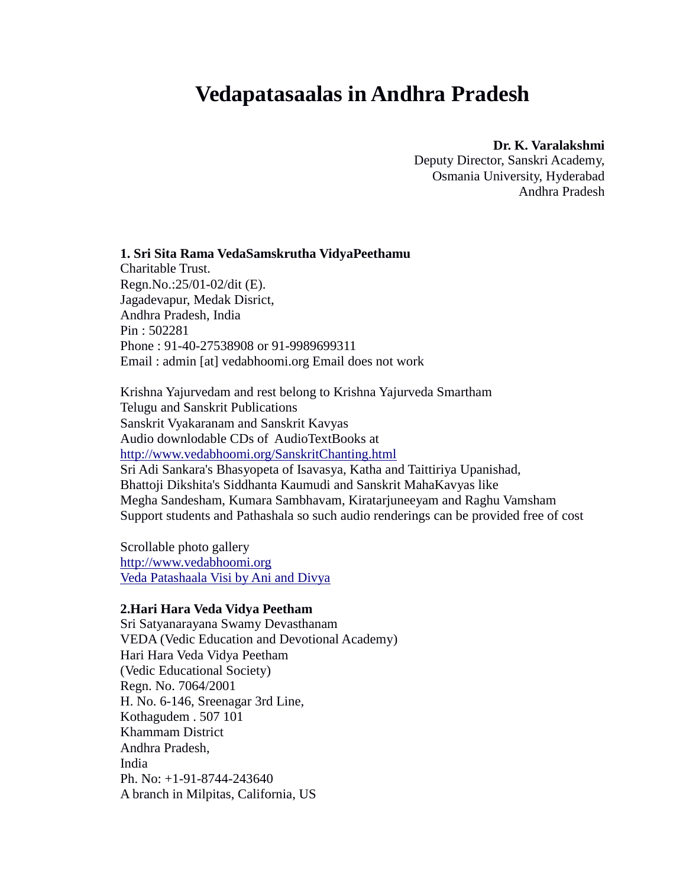# **Vedapatasaalas in Andhra Pradesh**

#### **Dr. K. Varalakshmi**

Deputy Director, Sanskri Academy, Osmania University, Hyderabad Andhra Pradesh

**1. Sri Sita Rama VedaSamskrutha VidyaPeethamu** Charitable Trust. Regn.No.:25/01-02/dit (E). Jagadevapur, Medak Disrict, Andhra Pradesh, India Pin : 502281 Phone : 91-40-27538908 or 91-9989699311 Email : admin [at] vedabhoomi.org Email does not work

Krishna Yajurvedam and rest belong to Krishna Yajurveda Smartham Telugu and Sanskrit Publications Sanskrit Vyakaranam and Sanskrit Kavyas Audio downlodable CDs of AudioTextBooks at <http://www.vedabhoomi.org/SanskritChanting.html> Sri Adi Sankara's Bhasyopeta of Isavasya, Katha and Taittiriya Upanishad, Bhattoji Dikshita's Siddhanta Kaumudi and Sanskrit MahaKavyas like Megha Sandesham, Kumara Sambhavam, Kiratarjuneeyam and Raghu Vamsham Support students and Pathashala so such audio renderings can be provided free of cost

Scrollable photo gallery [http://www.vedabhoomi.org](http://www.vedabhoomi.org/) [Veda Patashaala Visi by Ani and Divya](http://anidivya.blogspot.com/2011/04/veda-patashaala-visit.html)

### **2.Hari Hara Veda Vidya Peetham**

Sri Satyanarayana Swamy Devasthanam VEDA (Vedic Education and Devotional Academy) Hari Hara Veda Vidya Peetham (Vedic Educational Society) Regn. No. 7064/2001 H. No. 6-146, Sreenagar 3rd Line, Kothagudem . 507 101 Khammam District Andhra Pradesh, India Ph. No: +1-91-8744-243640 A branch in Milpitas, California, US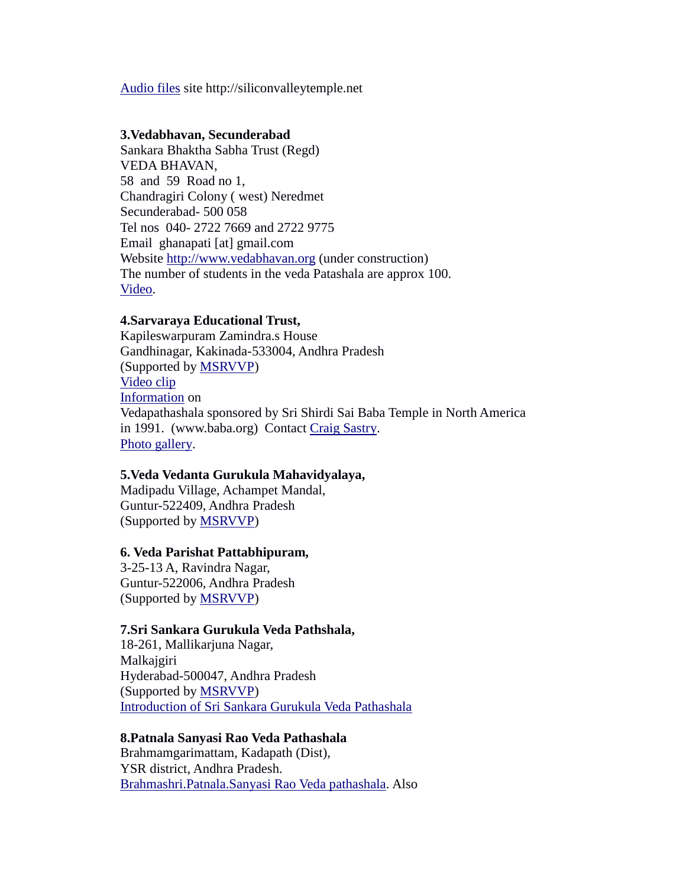[Audio files](http://siliconvalleytemple.net/audio.html) site http://siliconvalleytemple.net

#### **3.Vedabhavan, Secunderabad**

Sankara Bhaktha Sabha Trust (Regd) VEDA BHAVAN, 58 and 59 Road no 1, Chandragiri Colony ( west) Neredmet Secunderabad- 500 058 Tel nos 040- 2722 7669 and 2722 9775 Email ghanapati [at] gmail.com Website [http://www.vedabhavan.org](http://www.vedabhavan.org/) (under construction) The number of students in the veda Patashala are approx 100. [Video.](http://www.youtube.com/watch?v=y2hJZjWnHpg)

### **4.Sarvaraya Educational Trust,**

Kapileswarpuram Zamindra.s House Gandhinagar, Kakinada-533004, Andhra Pradesh (Supported by [MSRVVP\)](http://msrvvp.nic.in/) [Video clip](http://www.youtube.com/watch?v=BSA5p2DC-s8) [Information](http://www.baba.org/-veda-patasalas.html) on Vedapathashala sponsored by Sri Shirdi Sai Baba Temple in North America in 1991. (www.baba.org) Contact [Craig Sastry.](http://vedicschools.org/ContactUs/tabid/1339/language/en-US/Default.aspx) [Photo gallery.](https://plus.google.com/photos/103666602934585473364/albums/5686406698669702929?banner=pwa&authkey=CMu9xsLu7LC6Jw)

#### **5.Veda Vedanta Gurukula Mahavidyalaya,**

Madipadu Village, Achampet Mandal, Guntur-522409, Andhra Pradesh (Supported by [MSRVVP\)](http://msrvvp.nic.in/)

#### **6. Veda Parishat Pattabhipuram,**

3-25-13 A, Ravindra Nagar, Guntur-522006, Andhra Pradesh (Supported by [MSRVVP\)](http://msrvvp.nic.in/)

#### **7.Sri Sankara Gurukula Veda Pathshala,**

18-261, Mallikarjuna Nagar, Malkajgiri Hyderabad-500047, Andhra Pradesh (Supported by [MSRVVP\)](http://msrvvp.nic.in/) [Introduction of Sri Sankara Gurukula Veda Pathashala](http://www.youtube.com/watch?v=8JXUjvF8iJY)

#### **8.Patnala Sanyasi Rao Veda Pathashala**

Brahmamgarimattam, Kadapath (Dist), YSR district, Andhra Pradesh. [Brahmashri.Patnala.Sanyasi Rao Veda pathashala.](http://patnalasanyasiraovedapathashala.com/) Also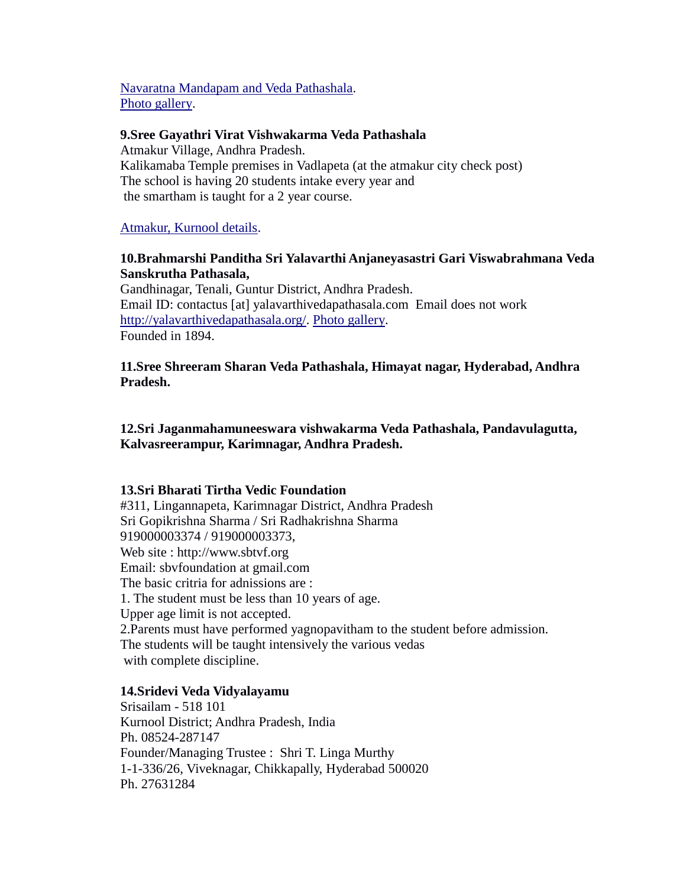[Navaratna Mandapam and Veda Pathashala.](http://en.wikipedia.org/wiki/Brahmamgarimatham) [Photo gallery.](http://patnalasanyasiraovedapathashala.com/photo-gallery)

## **9.Sree Gayathri Virat Vishwakarma Veda Pathashala**

Atmakur Village, Andhra Pradesh. Kalikamaba Temple premises in Vadlapeta (at the atmakur city check post) The school is having 20 students intake every year and the smartham is taught for a 2 year course.

[Atmakur, Kurnool details.](http://en.wikipedia.org/wiki/Atmakur,_Kurnool)

# **10.Brahmarshi Panditha Sri Yalavarthi Anjaneyasastri Gari Viswabrahmana Veda Sanskrutha Pathasala,**

Gandhinagar, Tenali, Guntur District, Andhra Pradesh. Email ID: contactus [at] yalavarthivedapathasala.com Email does not work [http://yalavarthivedapathasala.org/.](http://yalavarthivedapathasala.org/) [Photo gallery.](http://yalavarthivedapathasala.org/gallery.html) Founded in 1894.

## **11.Sree Shreeram Sharan Veda Pathashala, Himayat nagar, Hyderabad, Andhra Pradesh.**

# **12.Sri Jaganmahamuneeswara vishwakarma Veda Pathashala, Pandavulagutta, Kalvasreerampur, Karimnagar, Andhra Pradesh.**

#### **13.Sri Bharati Tirtha Vedic Foundation**

#311, Lingannapeta, Karimnagar District, Andhra Pradesh Sri Gopikrishna Sharma / Sri Radhakrishna Sharma 919000003374 / 919000003373, Web site : http://www.sbtvf.org Email: sbvfoundation at gmail.com The basic critria for adnissions are : 1. The student must be less than 10 years of age. Upper age limit is not accepted. 2.Parents must have performed yagnopavitham to the student before admission. The students will be taught intensively the various vedas with complete discipline.

#### **14.Sridevi Veda Vidyalayamu**

Srisailam - 518 101 Kurnool District; Andhra Pradesh, India Ph. 08524-287147 Founder/Managing Trustee : Shri T. Linga Murthy 1-1-336/26, Viveknagar, Chikkapally, Hyderabad 500020 Ph. 27631284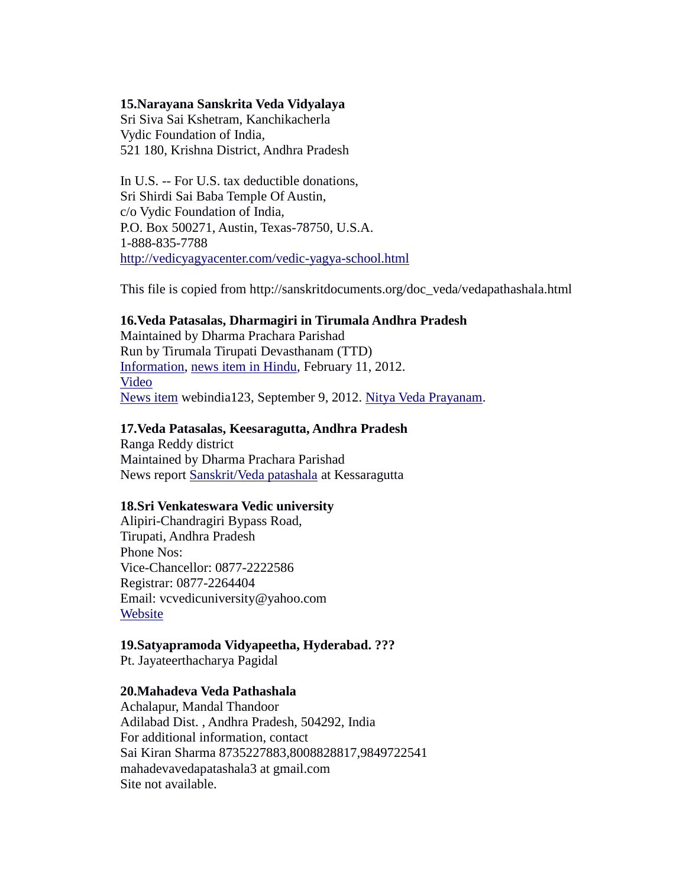### **15.Narayana Sanskrita Veda Vidyalaya**

Sri Siva Sai Kshetram, Kanchikacherla Vydic Foundation of India, 521 180, Krishna District, Andhra Pradesh

In U.S. -- For U.S. tax deductible donations, Sri Shirdi Sai Baba Temple Of Austin, c/o Vydic Foundation of India, P.O. Box 500271, Austin, Texas-78750, U.S.A. 1-888-835-7788 <http://vedicyagyacenter.com/vedic-yagya-school.html>

This file is copied from http://sanskritdocuments.org/doc\_veda/vedapathashala.html

#### **16.Veda Patasalas, Dharmagiri in Tirumala Andhra Pradesh**

Maintained by Dharma Prachara Parishad Run by Tirumala Tirupati Devasthanam (TTD) [Information,](http://andhranewsonline.wordpress.com/2010/07/18/dharmagiri-veda-pathashala/) [news item in Hindu,](http://www.thehindu.com/todays-paper/tp-national/tp-andhrapradesh/article2881340.ece) February 11, 2012. [Video](http://www.youtube.com/watch?v=zn4niBlAQ3c) [News item](http://news.webindia123.com/news/articles/India/20120909/2060348.html) webindia123, September 9, 2012. [Nitya Veda Prayanam.](http://news.webindia123.com/news/articles/India/20100912/1585931.html)

#### **17.Veda Patasalas, Keesaragutta, Andhra Pradesh**

Ranga Reddy district Maintained by Dharma Prachara Parishad News report [Sanskrit/Veda patashala](http://tirumalatirupati-info.blogspot.com/2012/10/ttd-sanskrit-veda-patashala-keesara.html) at Kessaragutta

#### **18.Sri Venkateswara Vedic university**

Alipiri-Chandragiri Bypass Road, Tirupati, Andhra Pradesh Phone Nos: Vice-Chancellor: 0877-2222586 Registrar: 0877-2264404 Email: vcvedicuniversity@yahoo.com [Website](http://www.svvedicuniversity.org/establishment.php)

#### **19.Satyapramoda Vidyapeetha, Hyderabad. ???**

Pt. Jayateerthacharya Pagidal

# **20.Mahadeva Veda Pathashala**

Achalapur, Mandal Thandoor Adilabad Dist. , Andhra Pradesh, 504292, India For additional information, contact Sai Kiran Sharma 8735227883,8008828817,9849722541 mahadevavedapatashala3 at gmail.com Site not available.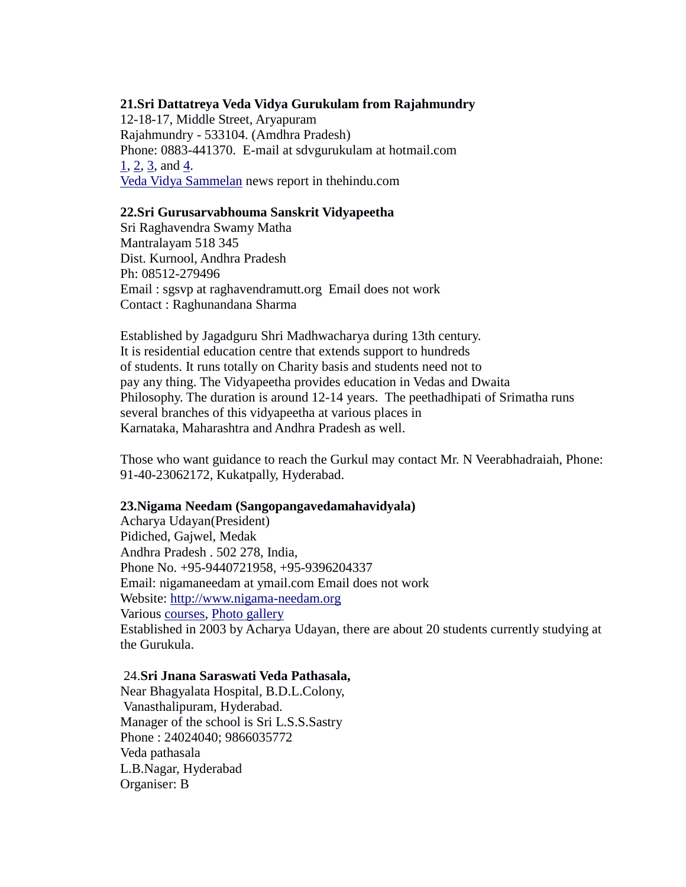## **21.Sri Dattatreya Veda Vidya Gurukulam from Rajahmundry**

12-18-17, Middle Street, Aryapuram Rajahmundry - 533104. (Amdhra Pradesh) Phone: 0883-441370. E-mail at sdvgurukulam at hotmail.com [1,](http://sanskritdocuments.org/doc_veda/Telugu) [2,](http://www.youtube.com/watch?v=5LGmvN80h1Q) [3,](http://www.youtube.com/watch?v=n5ziO4Vb4b8) and [4.](http://www.youtube.com/watch?v=hGhTKNGIoU0) [Veda Vidya Sammelan](http://www.thehindu.com/news/cities/Visakhapatnam/article393497.ece) news report in thehindu.com

## **22.Sri Gurusarvabhouma Sanskrit Vidyapeetha**

Sri Raghavendra Swamy Matha Mantralayam 518 345 Dist. Kurnool, Andhra Pradesh Ph: 08512-279496 Email : sgsvp at raghavendramutt.org Email does not work Contact : Raghunandana Sharma

Established by Jagadguru Shri Madhwacharya during 13th century. It is residential education centre that extends support to hundreds of students. It runs totally on Charity basis and students need not to pay any thing. The Vidyapeetha provides education in Vedas and Dwaita Philosophy. The duration is around 12-14 years. The peethadhipati of Srimatha runs several branches of this vidyapeetha at various places in Karnataka, Maharashtra and Andhra Pradesh as well.

Those who want guidance to reach the Gurkul may contact Mr. N Veerabhadraiah, Phone: 91-40-23062172, Kukatpally, Hyderabad.

#### **23.Nigama Needam (Sangopangavedamahavidyala)**

Acharya Udayan(President) Pidiched, Gajwel, Medak Andhra Pradesh . 502 278, India, Phone No. +95-9440721958, +95-9396204337 Email: nigamaneedam at ymail.com Email does not work Website: [http://www.nigama-needam.org](http://www.nigama-needam.org/) Various [courses,](http://www.nigama-needam.org/courses.html) [Photo gallery](http://www.nigama-needam.org/photo-gallery.html) Established in 2003 by Acharya Udayan, there are about 20 students currently studying at the Gurukula.

#### 24.**Sri Jnana Saraswati Veda Pathasala,**

Near Bhagyalata Hospital, B.D.L.Colony, Vanasthalipuram, Hyderabad. Manager of the school is Sri L.S.S.Sastry Phone : 24024040; 9866035772 Veda pathasala L.B.Nagar, Hyderabad Organiser: B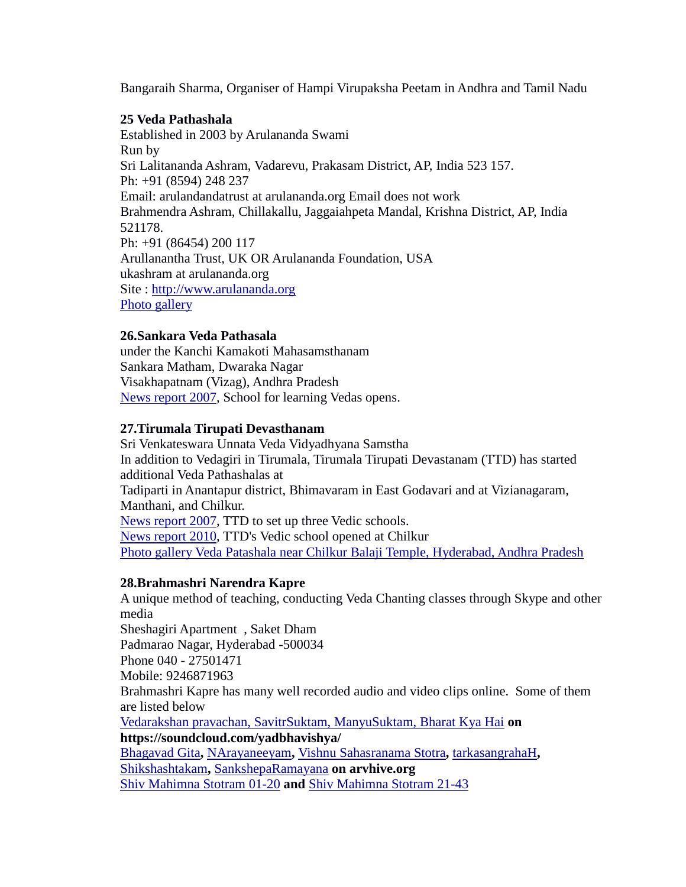Bangaraih Sharma, Organiser of Hampi Virupaksha Peetam in Andhra and Tamil Nadu

## **25 Veda Pathashala**

Established in 2003 by Arulananda Swami Run by Sri Lalitananda Ashram, Vadarevu, Prakasam District, AP, India 523 157. Ph: +91 (8594) 248 237 Email: arulandandatrust at arulananda.org Email does not work Brahmendra Ashram, Chillakallu, Jaggaiahpeta Mandal, Krishna District, AP, India 521178. Ph: +91 (86454) 200 117 Arullanantha Trust, UK OR Arulananda Foundation, USA ukashram at arulananda.org Site : [http://www.arulananda.org](http://www.arulananda.org/) [Photo gallery](http://www.arulananda.org/photos/photogallery.html)

## **26.Sankara Veda Pathasala**

under the Kanchi Kamakoti Mahasamsthanam Sankara Matham, Dwaraka Nagar Visakhapatnam (Vizag), Andhra Pradesh [News report 2007,](http://www.hindu.com/2007/11/30/stories/2007113061050300.htm) School for learning Vedas opens.

# **27.Tirumala Tirupati Devasthanam**

Sri Venkateswara Unnata Veda Vidyadhyana Samstha In addition to Vedagiri in Tirumala, Tirumala Tirupati Devastanam (TTD) has started additional Veda Pathashalas at Tadiparti in Anantapur district, Bhimavaram in East Godavari and at Vizianagaram, Manthani, and Chilkur. [News report 2007,](http://www.chitoor.com/news/2007/april/22-ttd-set-up.php) TTD to set up three Vedic schools. [News report 2010,](http://www.hindu.com/2010/06/15/stories/2010061560300400.htm) TTD's Vedic school opened at Chilkur [Photo gallery Veda Patashala near Chilkur Balaji Temple, Hyderabad, Andhra Pradesh](http://www.flickr.com/photos/akbarphotography/4268769346/)

# **28.Brahmashri Narendra Kapre**

A unique method of teaching, conducting Veda Chanting classes through Skype and other media Sheshagiri Apartment , Saket Dham Padmarao Nagar, Hyderabad -500034 Phone 040 - 27501471 Mobile: 9246871963 Brahmashri Kapre has many well recorded audio and video clips online. Some of them are listed below [Vedarakshan pravachan, SavitrSuktam, ManyuSuktam, Bharat Kya Hai](https://soundcloud.com/yadbhavishya/) **on https://soundcloud.com/yadbhavishya/** [Bhagavad Gita](http://archive.org/details/Bhagavad_Gita)**,** [NArayaneeyam](http://archive.org/details/Narayaneeyam)**,** [Vishnu Sahasranama Stotra](http://archive.org/details/VishnuSahasranamaStotra)**,** [tarkasangrahaH](http://archive.org/details/tarkasangrahaH)**,**  [Shikshashtakam](http://archive.org/details/Shikshashtakam)**,** [SankshepaRamayana](http://archive.org/details/SankshepaRamayana) **on arvhive.org** [Shiv Mahimna Stotram 01-20](https://who.rocq.inria.fr/Ramakrishna.Upadrasta/Music/Shiv_Mahimna/Shiv_Mahimna_Stotram_01-20.mp3) **and** [Shiv Mahimna Stotram 21-43](https://who.rocq.inria.fr/Ramakrishna.Upadrasta/Music/Shiv_Mahimna/Shiv_Mahimna_Stotram_21-43.mp3)